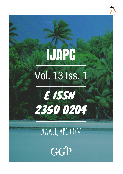# **IJAPC** Vol. 13 Iss. 1



# WWW.IJAPC.COM

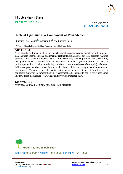

# **Int J Ayu Pharm Chem**

REVIEW ARTICLE www.ijapc.com

**e-ISSN 2350-0204**

# **Role of** *Upanaha* **as a Component of Pain Medicine**

 $\rm S$ armah Jyoti Manab $^{1*}$ ,  $\rm S$ harma K K $^{2}$  and  $\rm S$ harma Parul $^{3}$ 

1-3Dept. of Panchakarma, Rishikul Campus, UAU, Haridwar, India

#### **ABSTRACT**

*Ayurveda*, the traditional medicine of India has emphasised on various modalities of treatments. This includes both the internal and external treatments explained for different diseases. "A fired building is best saved by pouring water", in the same way tropical problems are successfully managed by tropical treatment rather than systemic treatment. *Upanaha*, poultice is a kind of topical application. It helps in reducing *vatadosha*, *sheeta* (coldness), *shola* (pain), *sthambha* (stiffness), *gourava* (heaviness). Pain medicine is one of the emerging areas of research and development. *Upanaha* is proved effective in the management of pain and other inflammatory conditions mainly of Locomotor System. An attempt has been made to collect references about *upanaha* from the classics of *Ayurveda* and reviewed systematically.

#### **KEYWORDS**

*Ayurveda, Upanaha, Topical application, Pain medicine.*



\_\_\_\_\_\_\_\_\_\_\_\_\_\_\_\_\_\_\_\_\_\_\_\_\_\_\_\_\_\_\_\_\_\_\_\_\_\_\_\_\_\_\_\_\_\_\_\_\_\_\_\_\_\_\_\_\_\_\_\_\_\_\_\_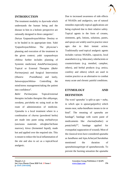

#### **INTRODUCTION**

The treatment modality in *Ayurveda* which understands the human being and the disease in him in a holistic perspective are rationally designed in three categories<sup>1</sup>.

*Daivya Vyapaashrayachikitsa*- Destiny or to be healed in its appropriate time. *Yukti Vyapashrayachikitsa*- The physician's planning and execution of the treatment in the given context; *yukti vyapaashraya chikitsa* further includes planning of Systemic medicines( *AntahParimarjana*); Topical or External Therapies (*Bahir Parimarjana*) and Surgical Intervention (*Shastra Pranidhana*) and lastly, *Satwavajayachikitsa*- Controlling the mind/stress management/taking the patient into confidence<sup>2</sup>.

*Bahir Parimarjana-* Topical/external therapies includes therapies like *abhyanga*, *swedana*, *parisheka* etc using *twak* as the route of administration of medicine. *Upanaha* is a local treatment where in a combination of *churna* (powdered herbs) are made into paste using *snehadravya*  (unctuous materials- oils/ghee/fat/bone marrow), *kinva* (fermented liquid), made hot and applied over the required site. This is meant to reduce the local inflammation of the site and also to act as a topical/local analgesic.

Due to increased awareness of side effects of NSAIDs and analgesics, use of natural remedies especially topical applications are being explored due to their relative safety. Topical agents in the form of creams, ointments, gels, lotions, solutions, pastes, and sprays are widely used in practice since ages due to their instant action. Traditionally used topical analgesic agents includes various NSAIDs, capsaicin, local anaesthetics (e.g. lidocaine), rubefacients or counterirritants (e.g. menthol, camphor, others), and herbal products (e.g. arnica, comfrey and others) which are used in routine practice as an alternative to combat many acute and chronic painful conditions.

# **ETYMOLOGY AND DEFINITION**

The word '*upanaha*' is split as *upa + naha*, in which *upa* is *upasarga*(prefix) which means near, *naha-bandhane* means to tie or bind<sup>3</sup> . The meaning of *upanaha* are bandage<sup>4</sup>, bandage with warm paste of medicaments like *charma*(leather) or *pata*(cloth)5,6, bandage applied for *vranapaka*( suppuration of wound). Most of the classical texts have considered *upanaha* as *bandhana* and *lepa*.*AcharyaCharaka*has mentioned the duration of *upanaha*in*sagni*type of *upanahasweda.* To prevent the burning sensation the *upanaha*

 $\mathcal{L}_\mathcal{L}$  , and the contribution of the contribution of the contribution of the contribution of the contribution of the contribution of the contribution of the contribution of the contribution of the contribution of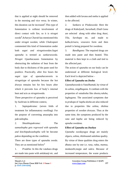

that is applied at night should be removed in the morning and vice versa. In winter, this duration can be increased<sup>7</sup>. This type of fomentation is without involvement of direct contact with fire, so it is *niragni sweda<sup>8</sup> .Acharya Charak* has mentioned this under *niragni swedan,* while *Chakrapani*  commented this kind of fomentation under both *sagni and niragniswedan.Sagni upanaha* is termed as *sankarasweda. Niragni Upanha*causes fomentation by obstructing the radiation of heat from the body due to thickness of the paste used for poultice. Practically, after few hours the *sagni type of upanaha*converts to *niragni*type of *upanaha* because the hot *dravya* remains hot for few hours after which it prevents loss of body's internal heat and acts as *niragnisweda.*

Three perspective of *upanaha* is perceived by *Sushruta* in different context,

1. *Saptopakrama:* (seven folds of treatment for inflammatory swelling): For the purpose of converting amasopha into pakvashopha.

2. *Shasthiupakrama:* The *aamashopha gets regressed with upanaha and kinchitpakwashopha* will be become *pakva* depending on the condition*.*

There are three types of *upanaha sweda*. They are as mentioned below<sup>9</sup>

1. *Pradeha*: In this the vatahara drugs are made into paste with amlakanji etc. and then added with lavana and sneha is applied to the affected.

2. *Sankara* or *Pindasweda*: Here the drugs of *Kakolyadi*, *Surashadi*, *Eladi Gana* are selected along with other drug *Atasi*, *Tila, Sarshapa* etc. and made to *kalka,krisara, vesavara* form and then *pottali* is being prepared for *swedana*.

3. *Bandhgana*: The required drugs are made into paste and then heated. This material is then kept in a cloth and tied to the affected part.

The action of *upanaha* on our body can be understood at different biological level. Each level is depicted below -

#### **Effect of** *Upanaha* **on** *Dosha*

*Upanahasweda* is *VataShamak*, by virtue of its *ushna*, *snigdhaguna*. It combats with the properties of *vatadosha* like *sheeta,ruksha*, *laghuguna*. The associated symptoms due to *prakopa* of *kapha dosha* are also reduced due to properties like *ushna*, *tikshna*  properties of *swedan dravyas*. Thus at the same time, the symptoms produced by the *vata* and *kapha* are being reduced by *upnaha swedana*.

#### **Effect of** *Upanaha* **on** *Dushya*

 $\mathcal{L}_\mathcal{L}$  , and the contribution of the contribution of the contribution of the contribution of the contribution of the contribution of the contribution of the contribution of the contribution of the contribution of

*Upanaha swedayogya* drugs are mainly of*guru*, *ushna*, *tikshna*and *sukshma* quality. By virtue of these qualities drug enters the *dhatus* one by one i.e. *rasa*, *rakta*, *mamsa*, *medaasthi*,*majja* and *sukra*. Because of increased temperature, the waste products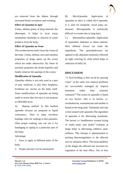

are removed from the *dhatus* through increased blood circulation and sweating.

#### **Effect of** *Upanaha* **in** *Agni*

*Ushna*, *tikshna gunas* of drug intensify the *dhatwagni*. It helps in local tissue metabolism thushelps in removal of waste products from the body.

#### **Effect of** *Upanaha* **on** *Srota*

The *swedan karma* itself clears the *srotas* of the body. *Ushna*, *tikshna*, *sara* and *sukshma*  properties of drugs opens up the *srotas* which are under obstruction. By virtue of *pachana* properties the *dosha* liquefies and finally removes the *upalepa* of the *srotas.*

#### **Modification of** *Upanaha*

*Upanaha chkitsa* is not only used as a part of pain medicine, it also does *langhana*, *brimhana* etc. *karma* on the body itself. Some modifications of *upanaha* are being made in recent days for easy to use purpose in OPD/IPD level.

A) *Raping method*: In this method *upanaha dravyas* are prepared in liquid consistency. Then to keep two/three bandage roles for soaking in that *upanaha*. After proper soaking, one can use it for bandaging or raping in a particular part of the body.

#### Advantage

1. Easy to apply in different parts of the body.

 $\mathcal{L}_\mathcal{L}$  , and the contribution of the contribution of the contribution of the contribution of the contribution of the contribution of the contribution of the contribution of the contribution of the contribution of

2. Proper pressure can be maintained.

B) *ShiroUpanaha*: Application of *upanaha* on *shiro* is called *shiro upanaha*. It is used for headache, facial palsy etc. diseases. *Shiroupanaha* is technically difficult in women due to long hairs

C) *Sthoulyahara upanaha*: Application of *upanaha*to abdomen in obese patients. Here *lekhana dravys* are main the ingredients. The *upanahadravyas* are applied to the abdomen uniformly followed by tight covering by cloth which helps in reduction of belly fat.

## **DISCUSSION**

"A fired building is best saved by pouring water", in the same way tropical problems are successfully managed by tropical treatment rather than systemic treatment<sup>10</sup>. The action of *upanaha* is based on two factors. One is its *karma*, i.e. *swedankarma*, *vestanakarma* and another is based on the drug used. *Vatadosha* and *ruja* is best treated with *upanaha*.The ingredient of *upanaha* is for alleviating *vatadosha*. The *karma* i.e. *bandhana*or *vestana* (tying of cloth) treats *vata dosha*<sup>11</sup> .*Ushnata* of drugs helps in alleviating coldness, pain, stiffness. This therapy is administrated to prolong thermoregulation to the affected area by radiation effect. The bioavailability of the drugto the affected site increases by regulation of the heat effect. Out of four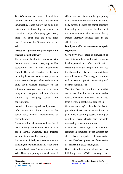

*Tiryakdhamanis*, each one is divided into hundred and thousand times thus become innumerable. These supply the body like network and their openings are attached to *roomakupa*. *Virya* of *abhyanga*, *parisheka*, *alepa* etc. enter into the body after undergoing *paka* by *bhrajak pitta* in the skin.

## **Effect of** *Upanaha* **on pain regulation through neural pathway:**

The action of the skin is coordinated with the functions of other excretory organs. The secretion of sweat is under autonomous control. The tactile sensation in the skin including hairs and its secretion produces some nervous changes. Thus, sudation can bring about changes indirectly on the autonomic nervous system and the heat can bring about changes in conduction of nerve stimuli, by changing sodium ion concentration.

Secretion of sweat is produced by direct or reflex stimulation of the centres in the spinal cord, medulla, hypothalamus or cerebral cortex.

Sweat secretion is increased with the rise of external body temperature. This is also called thermal sweating. This thermal sweating is produced in two ways;

By the rise of body temperature directly affecting the hypothalamus and reflex from the stimulated 'warm' nerve endings in the skin. Thus by exposing the small area of

 $\mathcal{L}_\mathcal{L}$  , and the contribution of the contribution of the contribution of the contribution of the contribution of the contribution of the contribution of the contribution of the contribution of the contribution of

skin to the heat, for example by exposing hands to the heat not only the hand, entire body sweats, because the spinal segments innervating the given area of the skin and of the other segments. This thermoregulatory system indirectly reduces pain in the affected part.

# **Biophysical effect of temperature on pain regulation**

*Circulatory effect*- there is stimulation of superficial capillaries and arteriole causing local hyperaemic and reflex vasodilatation. *Metabolic reaction*- temperature will rise the chemical activity in cell and metabolic rate will increase. The energy expenditure will increase and protein denaturizing will occur in human tissue.

*Vascular effect*- there are three factors that cause vasodilatation – an axon reflex release of chemical mediators, secondary to temp elevation, local spinal cord reflex.

*Neuro-muscular effect*- heat is effective to provide analgesic and assist resolution of pain muscle guarding spasm. Heating of peripheral nerve elevate pain threshold remarkably reduce muscle spasm.

*Connective tissue effect*- temperature elevation in combination with a stretch can alter elastic properties of connective tissues. The elastic properties of connective tissues result in plastic elongation

Oral anti-inflammatory drugs act by inhibiting the COX pathway and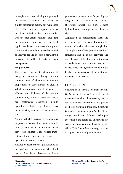

prostaglandins, thus reducing the pain and inflammation. *Upanaha* also have the similar therapeutic action, but with local effect. The exogenous opioid such as morphine applied on the skin act similar with the endogenous opioids<sup>12</sup>. But, here the important thing is that in local application the adverse effects of morphine is not noted. *Upanaha* can also be applied as a easy to use and effective *Panchakarma* procedure in different sorts of pain management.

#### **Drug delivery**

The primary barrier to absorption of exogenous substances through stratum corneum. Rate of absorption is directly proportional to concentration of drug in vehicle, partition co-efficient, diffusion coefficient and thickness of the stratum corneum. Physiological factors that affect per coetaneous absorption include hydration, occlusion, age, intact versus disrupted skin, temperature and anatomic site.

Among vehicles, greases are anhydrous preparations that are either waste insoluble or fatty. Fatty agents are more occlusive than water soluble. They restrict transepidermal water loss and hence preserve hydration of stratum corneum.

Absorption depends upon lipid solubility of the drug since the epidermis act as lipid barrier. The dermis however is freely

 $\mathcal{L}_\mathcal{L}$  , and the contribution of the contribution of the contribution of the contribution of the contribution of the contribution of the contribution of the contribution of the contribution of the contribution of

permeable to many solutes. Suspending the drug in an oily vehicle can enhance absorption through the skin. Because hydrated skin is more permeable than dry skin.

Application of medicaments, heat and massage definitely helps in eliminating the number of noxious elements through skin. The application of heat promotes the local circulation and metabolic activities and open the pores of the skin to permit transfer of medicaments and nutrients towards o needed sites. Thus *upanaha* can help in the field of pain management of locomotor and musculoskeletal system.

#### **CONCLUSION**

*Upanaha* is an effective treatment for *Vata Dosha* and in the management of pain of musculo skeletal and locomotor system. It can be modified according to the patient need like *Brimhana Upanaha*, *Langhana Upanaha*, *Pachana Upanaha* based on *dravya* used and different techniques according to the part to be. *Upanaha* is fast acting local application with nearly no side effect. This *Panchakarma* therapy is a ray of hope in the field of pain medicine